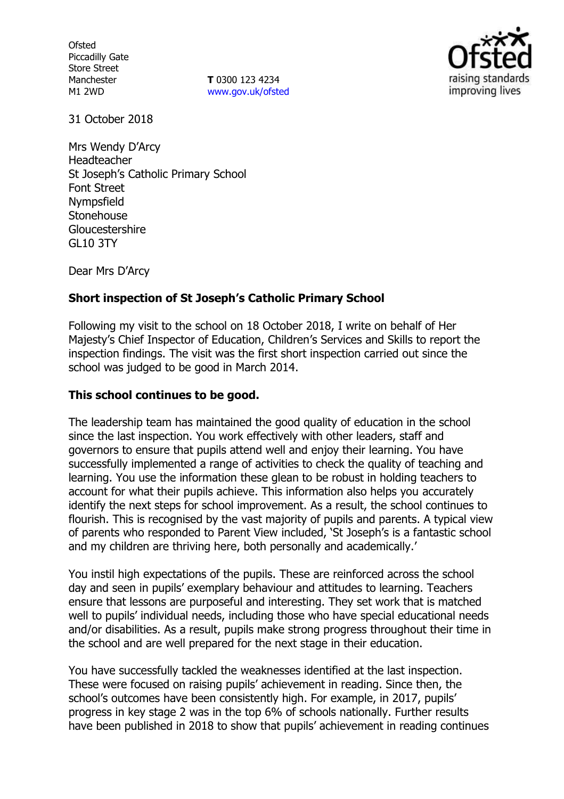**Ofsted** Piccadilly Gate Store Street Manchester M1 2WD

**T** 0300 123 4234 www.gov.uk/ofsted



31 October 2018

Mrs Wendy D'Arcy Headteacher St Joseph's Catholic Primary School Font Street Nympsfield Stonehouse Gloucestershire GL10 3TY

Dear Mrs D'Arcy

### **Short inspection of St Joseph's Catholic Primary School**

Following my visit to the school on 18 October 2018, I write on behalf of Her Majesty's Chief Inspector of Education, Children's Services and Skills to report the inspection findings. The visit was the first short inspection carried out since the school was judged to be good in March 2014.

### **This school continues to be good.**

The leadership team has maintained the good quality of education in the school since the last inspection. You work effectively with other leaders, staff and governors to ensure that pupils attend well and enjoy their learning. You have successfully implemented a range of activities to check the quality of teaching and learning. You use the information these glean to be robust in holding teachers to account for what their pupils achieve. This information also helps you accurately identify the next steps for school improvement. As a result, the school continues to flourish. This is recognised by the vast majority of pupils and parents. A typical view of parents who responded to Parent View included, 'St Joseph's is a fantastic school and my children are thriving here, both personally and academically.'

You instil high expectations of the pupils. These are reinforced across the school day and seen in pupils' exemplary behaviour and attitudes to learning. Teachers ensure that lessons are purposeful and interesting. They set work that is matched well to pupils' individual needs, including those who have special educational needs and/or disabilities. As a result, pupils make strong progress throughout their time in the school and are well prepared for the next stage in their education.

You have successfully tackled the weaknesses identified at the last inspection. These were focused on raising pupils' achievement in reading. Since then, the school's outcomes have been consistently high. For example, in 2017, pupils' progress in key stage 2 was in the top 6% of schools nationally. Further results have been published in 2018 to show that pupils' achievement in reading continues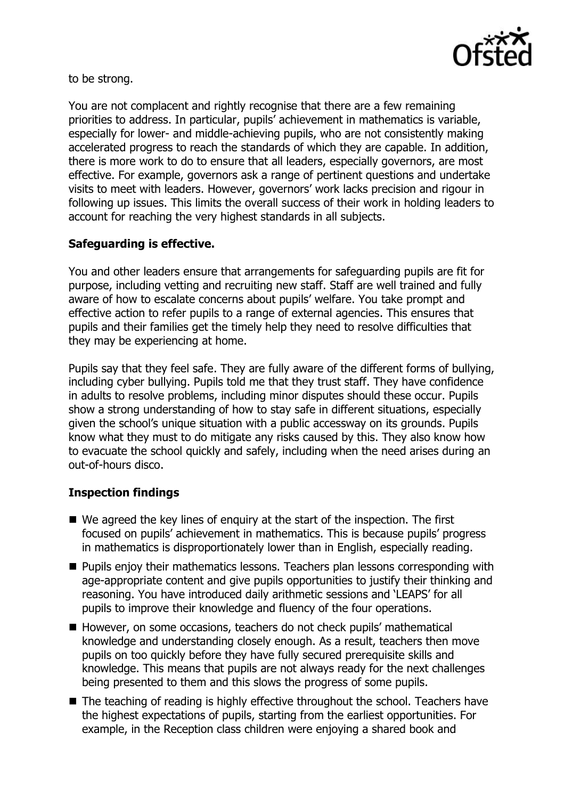

to be strong.

You are not complacent and rightly recognise that there are a few remaining priorities to address. In particular, pupils' achievement in mathematics is variable, especially for lower- and middle-achieving pupils, who are not consistently making accelerated progress to reach the standards of which they are capable. In addition, there is more work to do to ensure that all leaders, especially governors, are most effective. For example, governors ask a range of pertinent questions and undertake visits to meet with leaders. However, governors' work lacks precision and rigour in following up issues. This limits the overall success of their work in holding leaders to account for reaching the very highest standards in all subjects.

# **Safeguarding is effective.**

You and other leaders ensure that arrangements for safeguarding pupils are fit for purpose, including vetting and recruiting new staff. Staff are well trained and fully aware of how to escalate concerns about pupils' welfare. You take prompt and effective action to refer pupils to a range of external agencies. This ensures that pupils and their families get the timely help they need to resolve difficulties that they may be experiencing at home.

Pupils say that they feel safe. They are fully aware of the different forms of bullying, including cyber bullying. Pupils told me that they trust staff. They have confidence in adults to resolve problems, including minor disputes should these occur. Pupils show a strong understanding of how to stay safe in different situations, especially given the school's unique situation with a public accessway on its grounds. Pupils know what they must to do mitigate any risks caused by this. They also know how to evacuate the school quickly and safely, including when the need arises during an out-of-hours disco.

### **Inspection findings**

- We agreed the key lines of enguiry at the start of the inspection. The first focused on pupils' achievement in mathematics. This is because pupils' progress in mathematics is disproportionately lower than in English, especially reading.
- **Pupils enjoy their mathematics lessons. Teachers plan lessons corresponding with** age-appropriate content and give pupils opportunities to justify their thinking and reasoning. You have introduced daily arithmetic sessions and 'LEAPS' for all pupils to improve their knowledge and fluency of the four operations.
- However, on some occasions, teachers do not check pupils' mathematical knowledge and understanding closely enough. As a result, teachers then move pupils on too quickly before they have fully secured prerequisite skills and knowledge. This means that pupils are not always ready for the next challenges being presented to them and this slows the progress of some pupils.
- The teaching of reading is highly effective throughout the school. Teachers have the highest expectations of pupils, starting from the earliest opportunities. For example, in the Reception class children were enjoying a shared book and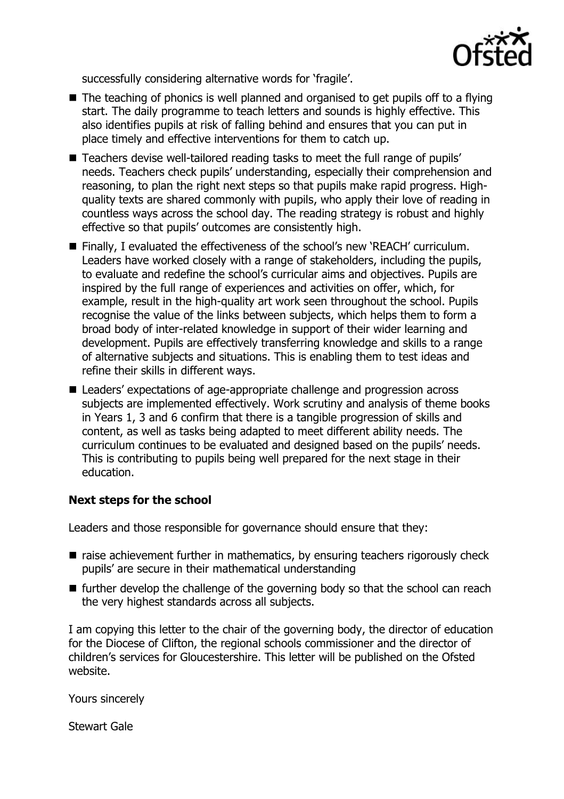

successfully considering alternative words for 'fragile'.

- $\blacksquare$  The teaching of phonics is well planned and organised to get pupils off to a flying start. The daily programme to teach letters and sounds is highly effective. This also identifies pupils at risk of falling behind and ensures that you can put in place timely and effective interventions for them to catch up.
- Teachers devise well-tailored reading tasks to meet the full range of pupils' needs. Teachers check pupils' understanding, especially their comprehension and reasoning, to plan the right next steps so that pupils make rapid progress. Highquality texts are shared commonly with pupils, who apply their love of reading in countless ways across the school day. The reading strategy is robust and highly effective so that pupils' outcomes are consistently high.
- Finally, I evaluated the effectiveness of the school's new 'REACH' curriculum. Leaders have worked closely with a range of stakeholders, including the pupils, to evaluate and redefine the school's curricular aims and objectives. Pupils are inspired by the full range of experiences and activities on offer, which, for example, result in the high-quality art work seen throughout the school. Pupils recognise the value of the links between subjects, which helps them to form a broad body of inter-related knowledge in support of their wider learning and development. Pupils are effectively transferring knowledge and skills to a range of alternative subjects and situations. This is enabling them to test ideas and refine their skills in different ways.
- Leaders' expectations of age-appropriate challenge and progression across subjects are implemented effectively. Work scrutiny and analysis of theme books in Years 1, 3 and 6 confirm that there is a tangible progression of skills and content, as well as tasks being adapted to meet different ability needs. The curriculum continues to be evaluated and designed based on the pupils' needs. This is contributing to pupils being well prepared for the next stage in their education.

# **Next steps for the school**

Leaders and those responsible for governance should ensure that they:

- $\blacksquare$  raise achievement further in mathematics, by ensuring teachers rigorously check pupils' are secure in their mathematical understanding
- $\blacksquare$  further develop the challenge of the governing body so that the school can reach the very highest standards across all subjects.

I am copying this letter to the chair of the governing body, the director of education for the Diocese of Clifton, the regional schools commissioner and the director of children's services for Gloucestershire. This letter will be published on the Ofsted website.

Yours sincerely

Stewart Gale